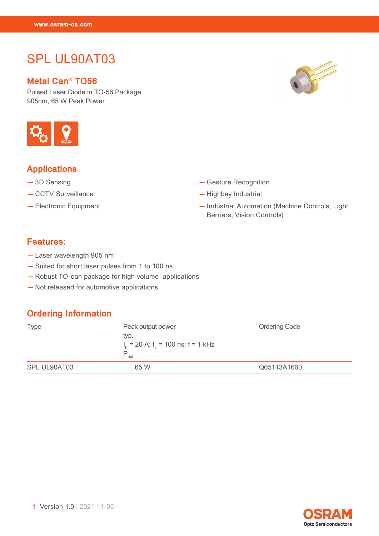SPL UL90AT03<br>SPL UL90AT03<br>OSP

# SPL UL90AT03

#### Metal Can® TO56

Pulsed Laser Diode in TO-56 Package 905nm, 65 W Peak Power



## Applications

- 3D Sensing
- CCTV Surveillance
- Electronic Equipment
- Gesture Recognition
- Highbay Industrial
- Industrial Automation (Machine Controls, Light Barriers, Vision Controls)

### Features:

- Laser wavelength 905 nm
- Suited for short laser pulses from 1 to 100 ns
- Robust TO-can package for high volume applications
- Not released for automotive applications

#### Ordering Information

| <b>Type</b>  | Peak output power<br>typ.<br>$I_F$ = 20 A; t <sub>o</sub> = 100 ns; f = 1 kHz<br>P<br>opt | <b>Ordering Code</b> |
|--------------|-------------------------------------------------------------------------------------------|----------------------|
| SPL UL90AT03 | 65 W                                                                                      | Q65113A1660          |

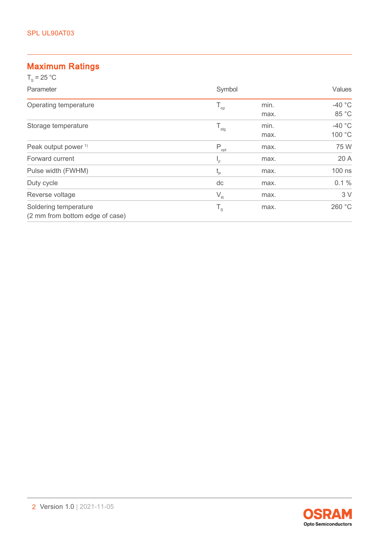#### Maximum Ratings  $T = 25$  °C

| $I_s = 25$ U                                             |                                              |              |                    |
|----------------------------------------------------------|----------------------------------------------|--------------|--------------------|
| Parameter                                                | Symbol                                       |              | Values             |
| Operating temperature                                    | $T_{op}$                                     | min.<br>max. | $-40$ °C<br>85 °C  |
| Storage temperature                                      | $T_{\rm stg}$                                | min.<br>max. | $-40$ °C<br>100 °C |
| Peak output power <sup>1)</sup>                          | $P_{opt}$                                    | max.         | 75 W               |
| Forward current                                          | 'F                                           | max.         | 20 A               |
| Pulse width (FWHM)                                       | $t_{p}$                                      | max.         | 100 ns             |
| Duty cycle                                               | dc                                           | max.         | $0.1 \%$           |
| Reverse voltage                                          | $V_R$                                        | max.         | 3V                 |
| Soldering temperature<br>(2 mm from bottom edge of case) | $\mathsf{T}_{\scriptscriptstyle \mathsf{S}}$ | max.         | 260 °C             |

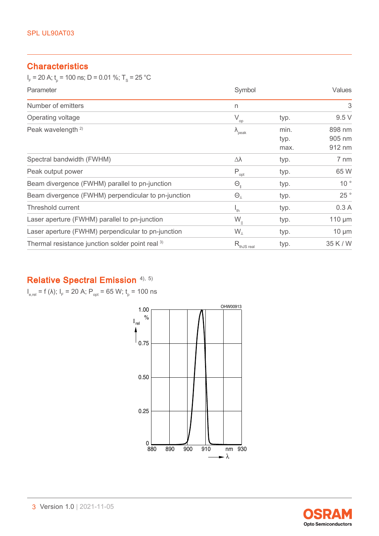#### **Characteristics**

 ${\sf I}_{_{\rm F}}$  = 20 A;  ${\sf t}_{_{\rm p}}$  = 100 ns; D = 0.01 %; T $_{_{\rm S}}$  = 25 °C

| Parameter                                                   | Symbol                                 |                      | Values                     |
|-------------------------------------------------------------|----------------------------------------|----------------------|----------------------------|
| Number of emitters                                          | n                                      |                      | 3                          |
| Operating voltage                                           | $\rm V_{op}$                           | typ.                 | 9.5V                       |
| Peak wavelength <sup>2)</sup>                               | $\lambda_{\rm peak}$                   | min.<br>typ.<br>max. | 898 nm<br>905 nm<br>912 nm |
| Spectral bandwidth (FWHM)                                   | Δλ                                     | typ.                 | 7 nm                       |
| Peak output power                                           | $P_{\underline{\text{opt}}}$           | typ.                 | 65 W                       |
| Beam divergence (FWHM) parallel to pn-junction              | $\Theta_{\scriptscriptstyle\parallel}$ | typ.                 | 10 <sup>°</sup>            |
| Beam divergence (FWHM) perpendicular to pn-junction         | $\Theta_{\perp}$                       | typ.                 | 25°                        |
| Threshold current                                           | $\mathsf{I}_{\mathsf{th}}$             | typ.                 | 0.3A                       |
| Laser aperture (FWHM) parallel to pn-junction               | $W_{\parallel}$                        | typ.                 | $110 \mu m$                |
| Laser aperture (FWHM) perpendicular to pn-junction          | $W_{\perp}$                            | typ.                 | $10 \mu m$                 |
| Thermal resistance junction solder point real <sup>3)</sup> | $R_{\text{thJS real}}$                 | typ.                 | 35 K / W                   |

# Relative Spectral Emission [4\),](#page-12-0) [5\)](#page-12-0)

 $I_{e,rel}$  = f (λ);  $I_F$  = 20 A;  $P_{opt}$  = 65 W;  $t_p$  = 100 ns



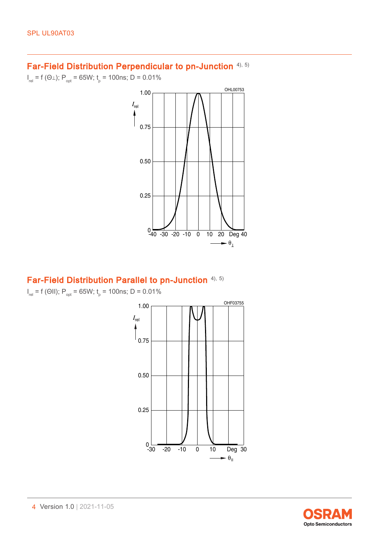#### Far-Field Distribution Perpendicular to pn-Junction [4\),](#page-12-0) [5\)](#page-12-0)

 $I_{rel}$  = f (Θ⊥);  $P_{opt}$  = 65W;  $t_{p}$  = 100ns; D = 0.01%



#### Far-Field Distribution Parallel to pn-Junction [4\),](#page-12-0) [5\)](#page-12-0)

 $I_{rel}$  = f (ΘII);  $P_{opt}$  = 65W;  $t_{p}$  = 100ns; D = 0.01%



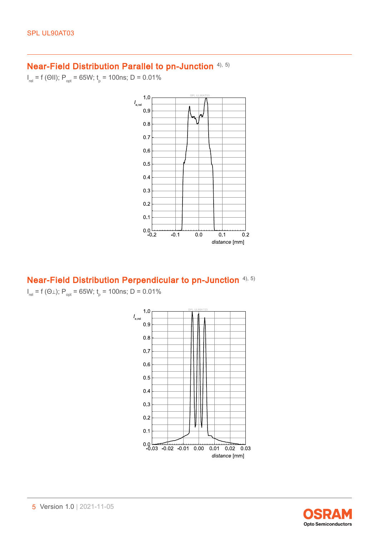#### Near-Field Distribution Parallel to pn-Junction [4\),](#page-12-0) [5\)](#page-12-0)

 $I_{rel}$  = f (ΘΙΙ);  $P_{opt}$  = 65W;  $t_{p}$  = 100ns; D = 0.01%



#### Near-Field Distribution Perpendicular to pn-Junction [4\),](#page-12-0) [5\)](#page-12-0)

 $I_{rel}$  = f (Θ⊥);  $P_{opt}$  = 65W;  $t_{p}$  = 100ns; D = 0.01%



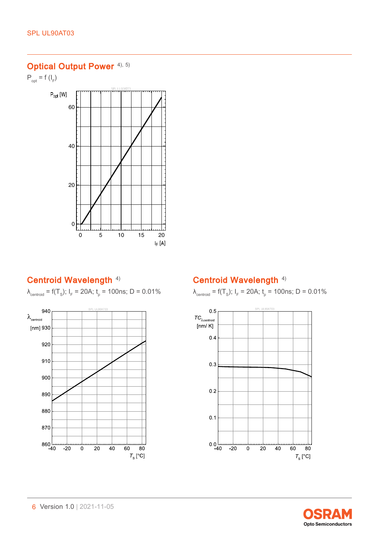# Optical Output Power [4\),](#page-12-0) [5\)](#page-12-0)

 $\mathsf{P}_{\mathsf{opt}} = \mathsf{f}\left(\mathsf{I}_{\mathsf{F}}\right)$ 



#### Centroid Wavelength<sup>[4\)](#page-12-0)</sup>

 $\lambda_{\text{centroid}} = f(T_s); I_F = 20 \text{A}; t_p = 100 \text{ns}; D = 0.01\%$ 



#### Centroid Wavelength<sup>[4\)](#page-12-0)</sup>

 $\lambda_{\text{centroid}} = f(T_s); I_F = 20 \text{A}; t_p = 100 \text{ns}; D = 0.01\%$ 



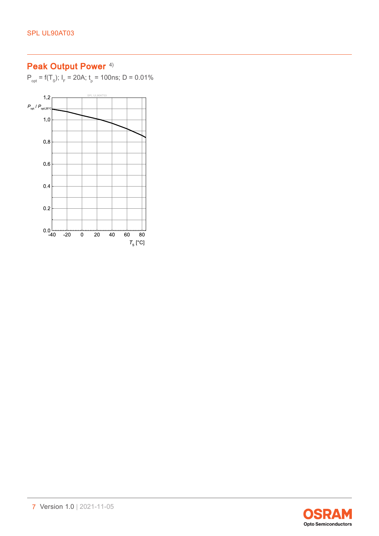# Peak Output Power<sup>[4\)](#page-12-0)</sup>

 $P_{opt} = f(T_s); I_F = 20A; t_p = 100$ ns; D = 0.01%



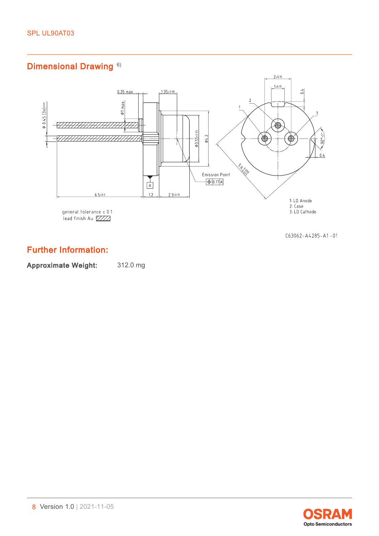# Dimensional Drawing<sup>[6\)](#page-12-0)</sup>



 $C63062 - A4285 - A1 - 01$ 

## Further Information:

Approximate Weight: 312.0 mg

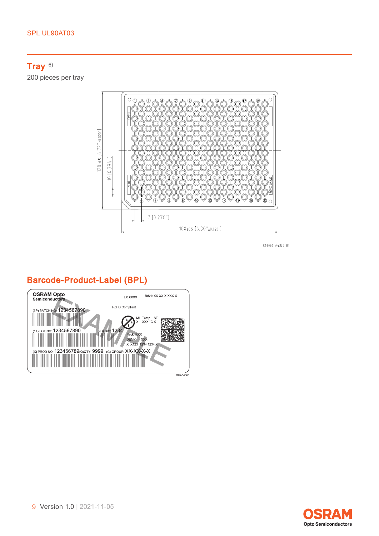## Tray <sup>[6\)](#page-12-0)</sup>

200 pieces per tray



 $C63062 - A4337 - B1$ 

## Barcode-Product-Label (BPL)



**Opto Semiconductors**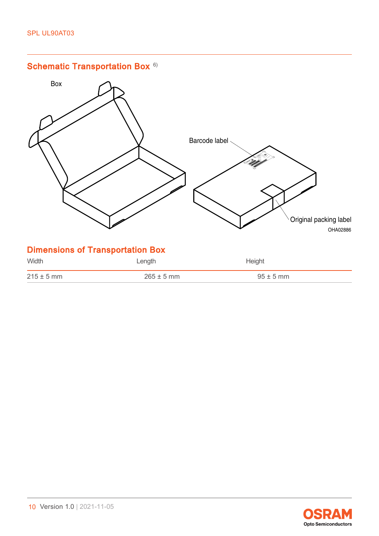

| $215 + 1$ |  |
|-----------|--|
|           |  |

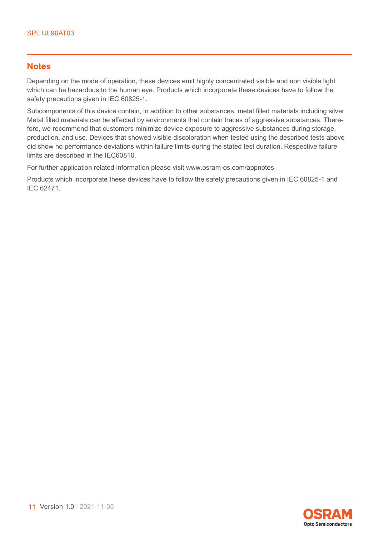#### **Notes**

Depending on the mode of operation, these devices emit highly concentrated visible and non visible light which can be hazardous to the human eye. Products which incorporate these devices have to follow the safety precautions given in IEC 60825-1.

Subcomponents of this device contain, in addition to other substances, metal filled materials including silver. Metal filled materials can be affected by environments that contain traces of aggressive substances. Therefore, we recommend that customers minimize device exposure to aggressive substances during storage, production, and use. Devices that showed visible discoloration when tested using the described tests above did show no performance deviations within failure limits during the stated test duration. Respective failure limits are described in the IEC60810.

For further application related information please visit www.osram-os.com/appnotes

Products which incorporate these devices have to follow the safety precautions given in IEC 60825-1 and IEC 62471.

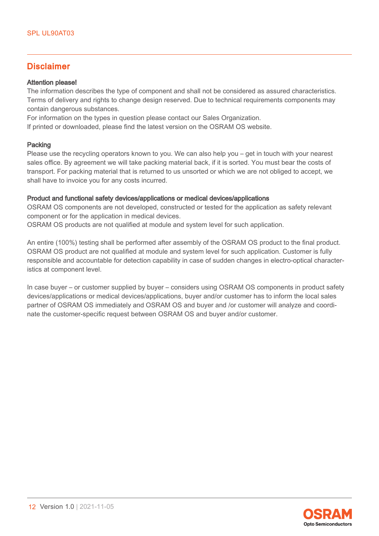#### Disclaimer

#### Attention please!

The information describes the type of component and shall not be considered as assured characteristics. Terms of delivery and rights to change design reserved. Due to technical requirements components may contain dangerous substances.

For information on the types in question please contact our Sales Organization.

If printed or downloaded, please find the latest version on the OSRAM OS website.

#### Packing

Please use the recycling operators known to you. We can also help you – get in touch with your nearest sales office. By agreement we will take packing material back, if it is sorted. You must bear the costs of transport. For packing material that is returned to us unsorted or which we are not obliged to accept, we shall have to invoice you for any costs incurred.

#### Product and functional safety devices/applications or medical devices/applications

OSRAM OS components are not developed, constructed or tested for the application as safety relevant component or for the application in medical devices.

OSRAM OS products are not qualified at module and system level for such application.

An entire (100%) testing shall be performed after assembly of the OSRAM OS product to the final product. OSRAM OS product are not qualified at module and system level for such application. Customer is fully responsible and accountable for detection capability in case of sudden changes in electro-optical characteristics at component level.

In case buyer – or customer supplied by buyer – considers using OSRAM OS components in product safety devices/applications or medical devices/applications, buyer and/or customer has to inform the local sales partner of OSRAM OS immediately and OSRAM OS and buyer and /or customer will analyze and coordinate the customer-specific request between OSRAM OS and buyer and/or customer.

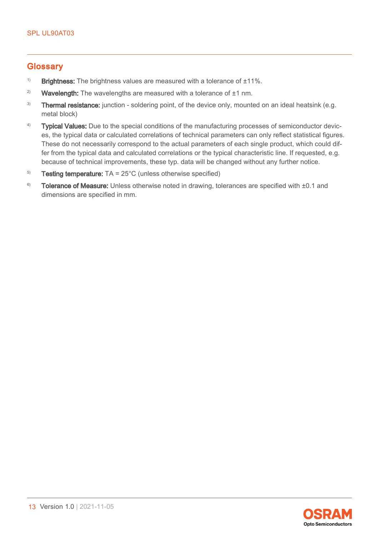#### <span id="page-12-0"></span>**Glossary**

- <sup>1)</sup> Brightness: The brightness values are measured with a tolerance of  $\pm 11\%$ .
- <sup>2)</sup> Wavelength: The wavelengths are measured with a tolerance of  $\pm 1$  nm.
- <sup>3)</sup> Thermal resistance: junction soldering point, of the device only, mounted on an ideal heatsink (e.g. metal block)
- <sup>4)</sup> Typical Values: Due to the special conditions of the manufacturing processes of semiconductor devices, the typical data or calculated correlations of technical parameters can only reflect statistical figures. These do not necessarily correspond to the actual parameters of each single product, which could differ from the typical data and calculated correlations or the typical characteristic line. If requested, e.g. because of technical improvements, these typ. data will be changed without any further notice.
- $5$  Testing temperature: TA =  $25^{\circ}$ C (unless otherwise specified)
- $6$  Tolerance of Measure: Unless otherwise noted in drawing, tolerances are specified with  $\pm 0.1$  and dimensions are specified in mm.

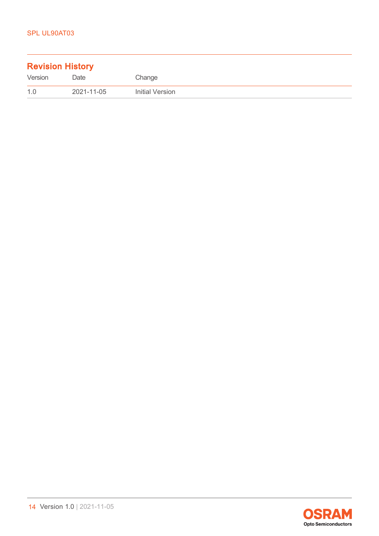| <b>Revision History</b> |            |                 |  |
|-------------------------|------------|-----------------|--|
| Version                 | Date       | Change          |  |
| 1.0                     | 2021-11-05 | Initial Version |  |